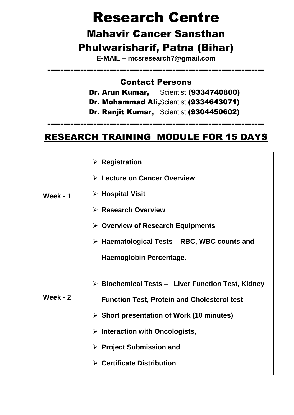# Research Centre

## Mahavir Cancer Sansthan Phulwarisharif, Patna (Bihar)

**E-MAIL – mcsresearch7@gmail.com**

------------------------------------------------------------------

#### Contact Persons

- Dr. Arun Kumar, Scientist (9334740800)
- Dr. Mohammad Ali,Scientist (9334643071)
- Dr. Ranjit Kumar, Scientist (9304450602)

### RESEARCH TRAINING MODULE FOR 15 DAYS

------------------------------------------------------------------

|                 | $\triangleright$ Registration                                    |
|-----------------|------------------------------------------------------------------|
|                 | $\triangleright$ Lecture on Cancer Overview                      |
| <b>Week - 1</b> | $\triangleright$ Hospital Visit                                  |
|                 | $\triangleright$ Research Overview                               |
|                 | $\triangleright$ Overview of Research Equipments                 |
|                 | $\triangleright$ Haematological Tests – RBC, WBC counts and      |
|                 | Haemoglobin Percentage.                                          |
|                 | $\triangleright$ Biochemical Tests - Liver Function Test, Kidney |
| Week - $2$      | <b>Function Test, Protein and Cholesterol test</b>               |
|                 | $\triangleright$ Short presentation of Work (10 minutes)         |
|                 | $\triangleright$ Interaction with Oncologists,                   |
|                 | $\triangleright$ Project Submission and                          |
|                 | $\triangleright$ Certificate Distribution                        |
|                 |                                                                  |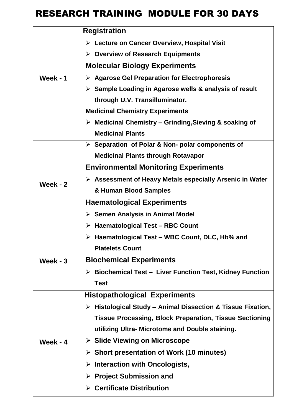### **RESEARCH TRAINING MODULE FOR 30 DAYS**

|            | <b>Registration</b>                                                        |
|------------|----------------------------------------------------------------------------|
| Week - $1$ | $\triangleright$ Lecture on Cancer Overview, Hospital Visit                |
|            | $\triangleright$ Overview of Research Equipments                           |
|            | <b>Molecular Biology Experiments</b>                                       |
|            | $\triangleright$ Agarose Gel Preparation for Electrophoresis               |
|            | $\triangleright$ Sample Loading in Agarose wells & analysis of result      |
|            | through U.V. Transilluminator.                                             |
|            | <b>Medicinal Chemistry Experiments</b>                                     |
|            | $\triangleright$ Medicinal Chemistry – Grinding, Sieving & soaking of      |
|            | <b>Medicinal Plants</b>                                                    |
|            | $\triangleright$ Separation of Polar & Non- polar components of            |
|            | <b>Medicinal Plants through Rotavapor</b>                                  |
|            | <b>Environmental Monitoring Experiments</b>                                |
| Week - $2$ | $\triangleright$ Assessment of Heavy Metals especially Arsenic in Water    |
|            | & Human Blood Samples                                                      |
|            | <b>Haematological Experiments</b>                                          |
|            | > Semen Analysis in Animal Model                                           |
|            | $\triangleright$ Haematological Test – RBC Count                           |
|            | > Haematological Test - WBC Count, DLC, Hb% and                            |
| Week - $3$ | <b>Platelets Count</b>                                                     |
|            | <b>Biochemical Experiments</b>                                             |
|            | <b>Biochemical Test - Liver Function Test, Kidney Function</b>             |
|            | <b>Test</b>                                                                |
| Week - $4$ | <b>Histopathological Experiments</b>                                       |
|            | $\triangleright$ Histological Study – Animal Dissection & Tissue Fixation, |
|            | <b>Tissue Processing, Block Preparation, Tissue Sectioning</b>             |
|            | utilizing Ultra- Microtome and Double staining.                            |
|            | $\triangleright$ Slide Viewing on Microscope                               |
|            | $\triangleright$ Short presentation of Work (10 minutes)                   |
|            | $\triangleright$ Interaction with Oncologists,                             |
|            | $\triangleright$ Project Submission and                                    |
|            | $\triangleright$ Certificate Distribution                                  |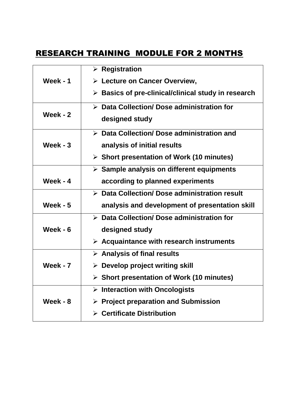#### RESEARCH TRAINING MODULE FOR 2 MONTHS

|                 | $\triangleright$ Registration                                      |
|-----------------|--------------------------------------------------------------------|
|                 |                                                                    |
| <b>Week - 1</b> | $\triangleright$ Lecture on Cancer Overview,                       |
|                 | $\triangleright$ Basics of pre-clinical/clinical study in research |
|                 |                                                                    |
| Week - $2$      | $\triangleright$ Data Collection/ Dose administration for          |
|                 | designed study                                                     |
|                 | $\triangleright$ Data Collection/ Dose administration and          |
|                 |                                                                    |
| Week - $3$      | analysis of initial results                                        |
|                 | $\triangleright$ Short presentation of Work (10 minutes)           |
|                 |                                                                    |
|                 | $\triangleright$ Sample analysis on different equipments           |
| Week - $4$      | according to planned experiments                                   |
|                 | > Data Collection/ Dose administration result                      |
| Week - $5$      | analysis and development of presentation skill                     |
|                 | > Data Collection/ Dose administration for                         |
| Week - 6        | designed study                                                     |
|                 | $\triangleright$ Acquaintance with research instruments            |
|                 | $\triangleright$ Analysis of final results                         |
| <b>Week - 7</b> | $\triangleright$ Develop project writing skill                     |
|                 | $\triangleright$ Short presentation of Work (10 minutes)           |
|                 |                                                                    |
|                 | $\triangleright$ Interaction with Oncologists                      |
| <b>Week - 8</b> | <b>Project preparation and Submission</b><br>➤                     |
|                 | $\triangleright$ Certificate Distribution                          |
|                 |                                                                    |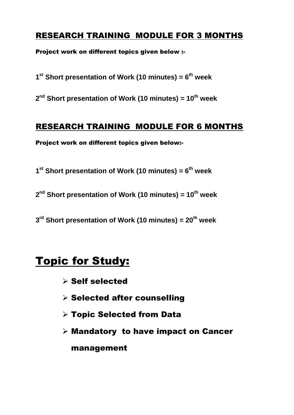#### RESEARCH TRAINING MODULE FOR 3 MONTHS

Project work on different topics given below :-

**1 st Short presentation of Work (10 minutes) = 6 th week**

**2 nd Short presentation of Work (10 minutes) = 10th week**

#### RESEARCH TRAINING MODULE FOR 6 MONTHS

Project work on different topics given below:-

**1 st Short presentation of Work (10 minutes) = 6 th week**

**2 nd Short presentation of Work (10 minutes) = 10th week**

**3 rd Short presentation of Work (10 minutes) = 20 th week**

## Topic for Study:

- $\triangleright$  Self selected
- $\triangleright$  Selected after counselling
- Topic Selected from Data
- $\triangleright$  Mandatory to have impact on Cancer

management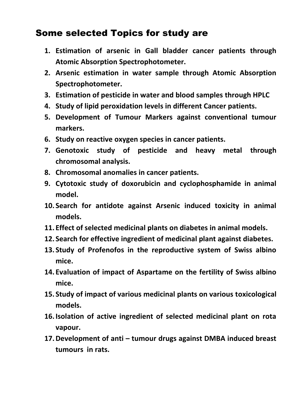#### Some selected Topics for study are

- **1. Estimation of arsenic in Gall bladder cancer patients through Atomic Absorption Spectrophotometer.**
- **2. Arsenic estimation in water sample through Atomic Absorption Spectrophotometer.**
- **3. Estimation of pesticide in water and blood samples through HPLC**
- **4. Study of lipid peroxidation levels in different Cancer patients.**
- **5. Development of Tumour Markers against conventional tumour markers.**
- **6. Study on reactive oxygen species in cancer patients.**
- **7. Genotoxic study of pesticide and heavy metal through chromosomal analysis.**
- **8. Chromosomal anomalies in cancer patients.**
- **9. Cytotoxic study of doxorubicin and cyclophosphamide in animal model.**
- **10. Search for antidote against Arsenic induced toxicity in animal models.**
- **11. Effect of selected medicinal plants on diabetes in animal models.**
- **12. Search for effective ingredient of medicinal plant against diabetes.**
- **13. Study of Profenofos in the reproductive system of Swiss albino mice.**
- **14. Evaluation of impact of Aspartame on the fertility of Swiss albino mice.**
- **15. Study of impact of various medicinal plants on various toxicological models.**
- **16. Isolation of active ingredient of selected medicinal plant on rota vapour.**
- **17.Development of anti – tumour drugs against DMBA induced breast tumours in rats.**